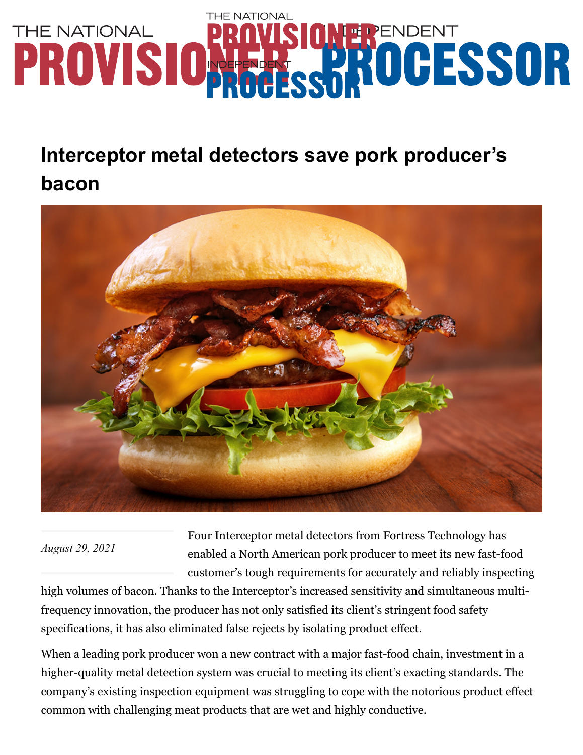# THE NATIONAL THE NATIONAL PROVISIONERENDENT

## **Interceptor metal detectors save pork producer's**

## **bacon**



#### *August 29, 2021*

Four Interceptor metal detectors from Fortress Technology has enabled a North American pork producer to meet its new fast-food customer's tough requirements for accurately and reliably inspecting

high volumes of bacon. Thanks to the Interceptor's increased sensitivity and simultaneous multifrequency innovation, the producer has not only satisfied its client's stringent food safety specifications, it has also eliminated false rejects by isolating product effect.

When a leading pork producer won a new contract with a major fast-food chain, investment in a higher-quality metal detection system was crucial to meeting its client's exacting standards. The company's existing inspection equipment was struggling to cope with the notorious product effect common with challenging meat products that are wet and highly conductive.